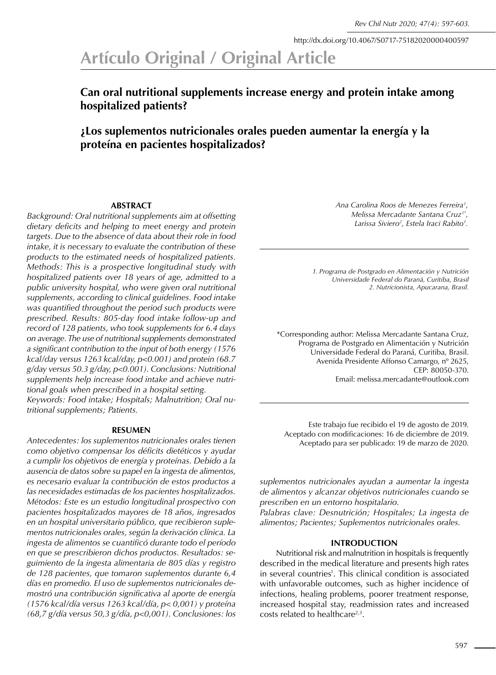http://dx.doi.org/10.4067/S0717-75182020000400597

# **Artículo Original / Original Article**

# **Can oral nutritional supplements increase energy and protein intake among hospitalized patients?**

# **¿Los suplementos nutricionales orales pueden aumentar la energía y la proteína en pacientes hospitalizados?**

## **ABSTRACT**

*Background: Oral nutritional supplements aim at offsetting dietary deficits and helping to meet energy and protein targets. Due to the absence of data about their role in food intake, it is necessary to evaluate the contribution of these products to the estimated needs of hospitalized patients. Methods: This is a prospective longitudinal study with hospitalized patients over 18 years of age, admitted to a public university hospital, who were given oral nutritional supplements, according to clinical guidelines. Food intake was quantified throughout the period such products were prescribed. Results: 805-day food intake follow-up and record of 128 patients, who took supplements for 6.4 days on average. The use of nutritional supplements demonstrated a significant contribution to the input of both energy (1576 kcal/day versus 1263 kcal/day, p<0.001) and protein (68.7 g/day versus 50.3 g/day, p<0.001). Conclusions: Nutritional supplements help increase food intake and achieve nutritional goals when prescribed in a hospital setting. Keywords: Food intake; Hospitals; Malnutrition; Oral nutritional supplements; Patients.* 

#### **RESUMEN**

*Antecedentes: los suplementos nutricionales orales tienen como objetivo compensar los déficits dietéticos y ayudar a cumplir los objetivos de energía y proteínas. Debido a la ausencia de datos sobre su papel en la ingesta de alimentos, es necesario evaluar la contribución de estos productos a las necesidades estimadas de los pacientes hospitalizados. Métodos: Este es un estudio longitudinal prospectivo con pacientes hospitalizados mayores de 18 años, ingresados en un hospital universitario público, que recibieron suplementos nutricionales orales, según la derivación clínica. La ingesta de alimentos se cuantificó durante todo el período en que se prescribieron dichos productos. Resultados: seguimiento de la ingesta alimentaria de 805 días y registro de 128 pacientes, que tomaron suplementos durante 6,4 días en promedio. El uso de suplementos nutricionales demostró una contribución significativa al aporte de energía (1576 kcal/día versus 1263 kcal/día, p< 0,001) y proteína (68,7 g/día versus 50,3 g/día, p<0,001). Conclusiones: los*  *Ana Carolina Roos de Menezes Ferreira1 , Melissa Mercadante Santana Cruz1\*, Larissa Siviero2 , Estela Iraci Rabito1 .*

*1. Programa de Postgrado en Alimentación y Nutrición Universidade Federal do Paraná, Curitiba, Brasil 2. Nutricionista, Apucarana, Brasil.*

\*Corresponding author: Melissa Mercadante Santana Cruz, Programa de Postgrado en Alimentación y Nutrición Universidade Federal do Paraná, Curitiba, Brasil. Avenida Presidente Affonso Camargo, nº 2625, CEP: 80050-370. Email: melissa.mercadante@outlook.com

Este trabajo fue recibido el 19 de agosto de 2019. Aceptado con modificaciones: 16 de diciembre de 2019. Aceptado para ser publicado: 19 de marzo de 2020.

*suplementos nutricionales ayudan a aumentar la ingesta de alimentos y alcanzar objetivos nutricionales cuando se prescriben en un entorno hospitalario.*

*Palabras clave: Desnutrición; Hospitales; La ingesta de alimentos; Pacientes; Suplementos nutricionales orales.*

#### **INTRODUCTION**

Nutritional risk and malnutrition in hospitals is frequently described in the medical literature and presents high rates in several countries<sup>1</sup>. This clinical condition is associated with unfavorable outcomes, such as higher incidence of infections, healing problems, poorer treatment response, increased hospital stay, readmission rates and increased  $costs$  related to healthcare<sup>2,3</sup>.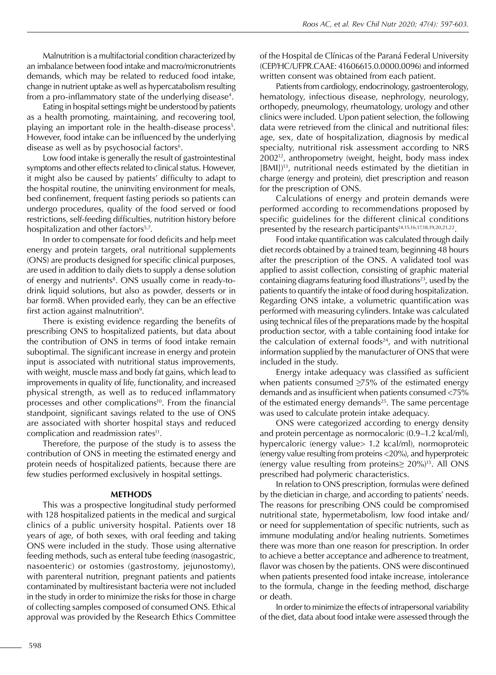Malnutrition is a multifactorial condition characterized by an imbalance between food intake and macro/micronutrients demands, which may be related to reduced food intake, change in nutrient uptake as well as hypercatabolism resulting from a pro-inflammatory state of the underlying disease $^{\rm 4}.$ 

Eating in hospital settings might be understood by patients as a health promoting, maintaining, and recovering tool, playing an important role in the health-disease process<sup>5</sup>. However, food intake can be influenced by the underlying disease as well as by psychosocial factors $6$ .

Low food intake is generally the result of gastrointestinal symptoms and other effects related to clinical status. However, it might also be caused by patients' difficulty to adapt to the hospital routine, the uninviting environment for meals, bed confinement, frequent fasting periods so patients can undergo procedures, quality of the food served or food restrictions, self-feeding difficulties, nutrition history before hospitalization and other factors<sup>5,7</sup>.

In order to compensate for food deficits and help meet energy and protein targets, oral nutritional supplements (ONS) are products designed for specific clinical purposes, are used in addition to daily diets to supply a dense solution of energy and nutrients<sup>8</sup>. ONS usually come in ready-todrink liquid solutions, but also as powder, desserts or in bar form8. When provided early, they can be an effective first action against malnutrition $9$ .

There is existing evidence regarding the benefits of prescribing ONS to hospitalized patients, but data about the contribution of ONS in terms of food intake remain suboptimal. The significant increase in energy and protein input is associated with nutritional status improvements, with weight, muscle mass and body fat gains, which lead to improvements in quality of life, functionality, and increased physical strength, as well as to reduced inflammatory processes and other complications<sup>10</sup>. From the financial standpoint, significant savings related to the use of ONS are associated with shorter hospital stays and reduced complication and readmission rates<sup>11</sup>.

Therefore, the purpose of the study is to assess the contribution of ONS in meeting the estimated energy and protein needs of hospitalized patients, because there are few studies performed exclusively in hospital settings.

#### **METHODS**

This was a prospective longitudinal study performed with 128 hospitalized patients in the medical and surgical clinics of a public university hospital. Patients over 18 years of age, of both sexes, with oral feeding and taking ONS were included in the study. Those using alternative feeding methods, such as enteral tube feeding (nasogastric, nasoenteric) or ostomies (gastrostomy, jejunostomy), with parenteral nutrition, pregnant patients and patients contaminated by multiresistant bacteria were not included in the study in order to minimize the risks for those in charge of collecting samples composed of consumed ONS. Ethical approval was provided by the Research Ethics Committee

of the Hospital de Clínicas of the Paraná Federal University (CEP/HC/UFPR.CAAE: 41606615.0.0000.0096) and informed written consent was obtained from each patient.

Patients from cardiology, endocrinology, gastroenterology, hematology, infectious disease, nephrology, neurology, orthopedy, pneumology, rheumatology, urology and other clinics were included. Upon patient selection, the following data were retrieved from the clinical and nutritional files: age, sex, date of hospitalization, diagnosis by medical specialty, nutritional risk assessment according to NRS 200212, anthropometry (weight, height, body mass index [BMI])13, nutritional needs estimated by the dietitian in charge (energy and protein), diet prescription and reason for the prescription of ONS.

Calculations of energy and protein demands were performed according to recommendations proposed by specific guidelines for the different clinical conditions presented by the research participants<sup>14,15,16,17,18,19,20,21,22</sup>.

Food intake quantification was calculated through daily diet records obtained by a trained team, beginning 48 hours after the prescription of the ONS. A validated tool was applied to assist collection, consisting of graphic material containing diagrams featuring food illustrations<sup>23</sup>, used by the patients to quantify the intake of food during hospitalization. Regarding ONS intake, a volumetric quantification was performed with measuring cylinders. Intake was calculated using technical files of the preparations made by the hospital production sector, with a table containing food intake for the calculation of external foods $24$ , and with nutritional information supplied by the manufacturer of ONS that were included in the study.

Energy intake adequacy was classified as sufficient when patients consumed ≥75% of the estimated energy demands and as insufficient when patients consumed <75% of the estimated energy demands<sup>25</sup>. The same percentage was used to calculate protein intake adequacy.

ONS were categorized according to energy density and protein percentage as normocaloric (0.9–1.2 kcal/ml), hypercaloric (energy value> 1.2 kcal/ml), normoproteic (energy value resulting from proteins <20%), and hyperproteic (energy value resulting from proteins≥ 20%)15. All ONS prescribed had polymeric characteristics.

In relation to ONS prescription, formulas were defined by the dietician in charge, and according to patients' needs. The reasons for prescribing ONS could be compromised nutritional state, hypermetabolism, low food intake and/ or need for supplementation of specific nutrients, such as immune modulating and/or healing nutrients. Sometimes there was more than one reason for prescription. In order to achieve a better acceptance and adherence to treatment, flavor was chosen by the patients. ONS were discontinued when patients presented food intake increase, intolerance to the formula, change in the feeding method, discharge or death.

In order to minimize the effects of intrapersonal variability of the diet, data about food intake were assessed through the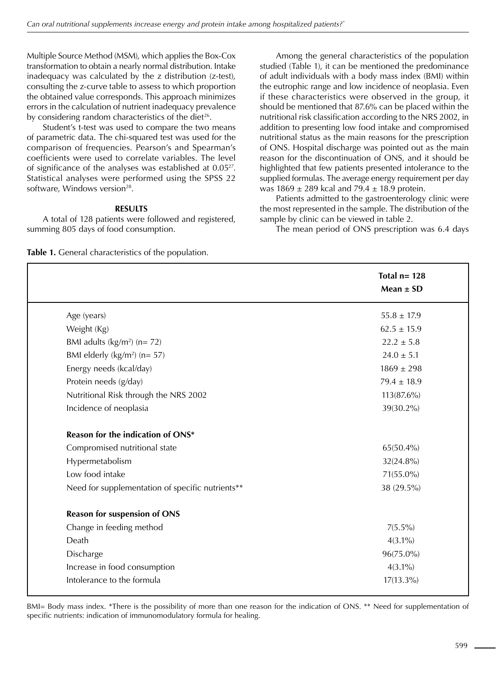Multiple Source Method (MSM), which applies the Box-Cox transformation to obtain a nearly normal distribution. Intake inadequacy was calculated by the z distribution (z-test), consulting the z-curve table to assess to which proportion the obtained value corresponds. This approach minimizes errors in the calculation of nutrient inadequacy prevalence by considering random characteristics of the diet<sup>26</sup>.

Student's t-test was used to compare the two means of parametric data. The chi-squared test was used for the comparison of frequencies. Pearson's and Spearman's coefficients were used to correlate variables. The level of significance of the analyses was established at 0.0527. Statistical analyses were performed using the SPSS 22 software, Windows version<sup>28</sup>.

## **RESULTS**

A total of 128 patients were followed and registered, summing 805 days of food consumption.

**Table 1.** General characteristics of the population.

Among the general characteristics of the population studied (Table 1), it can be mentioned the predominance of adult individuals with a body mass index (BMI) within the eutrophic range and low incidence of neoplasia. Even if these characteristics were observed in the group, it should be mentioned that 87.6% can be placed within the nutritional risk classification according to the NRS 2002, in addition to presenting low food intake and compromised nutritional status as the main reasons for the prescription of ONS. Hospital discharge was pointed out as the main reason for the discontinuation of ONS, and it should be highlighted that few patients presented intolerance to the supplied formulas. The average energy requirement per day was  $1869 \pm 289$  kcal and  $79.4 \pm 18.9$  protein.

Patients admitted to the gastroenterology clinic were the most represented in the sample. The distribution of the sample by clinic can be viewed in table 2.

The mean period of ONS prescription was 6.4 days

|                                                  | Total $n = 128$<br>Mean $\pm$ SD |
|--------------------------------------------------|----------------------------------|
| Age (years)                                      | $55.8 \pm 17.9$                  |
| Weight (Kg)                                      | $62.5 \pm 15.9$                  |
| BMI adults $(kg/m^2)$ (n= 72)                    | $22.2 \pm 5.8$                   |
| BMI elderly $(kg/m^2)$ (n= 57)                   | $24.0 \pm 5.1$                   |
| Energy needs (kcal/day)                          | $1869 \pm 298$                   |
| Protein needs (g/day)                            | $79.4 \pm 18.9$                  |
| Nutritional Risk through the NRS 2002            | 113(87.6%)                       |
| Incidence of neoplasia                           | $39(30.2\%)$                     |
| Reason for the indication of ONS*                |                                  |
| Compromised nutritional state                    | 65(50.4%)                        |
| Hypermetabolism                                  | $32(24.8\%)$                     |
| Low food intake                                  | 71(55.0%)                        |
| Need for supplementation of specific nutrients** | 38 (29.5%)                       |
| <b>Reason for suspension of ONS</b>              |                                  |
| Change in feeding method                         | $7(5.5\%)$                       |
| Death                                            | $4(3.1\%)$                       |
| Discharge                                        | 96(75.0%)                        |
| Increase in food consumption                     | $4(3.1\%)$                       |
| Intolerance to the formula                       | $17(13.3\%)$                     |

BMI= Body mass index. \*There is the possibility of more than one reason for the indication of ONS. \*\* Need for supplementation of specific nutrients: indication of immunomodulatory formula for healing.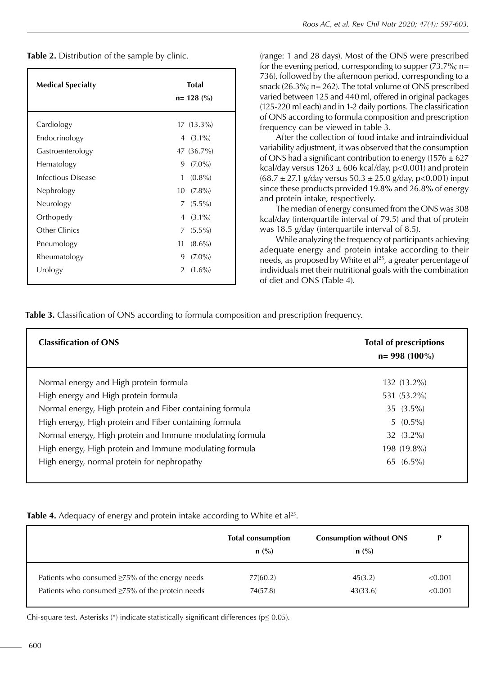**Table 2.** Distribution of the sample by clinic.

| <b>Medical Specialty</b>  | <b>Total</b><br>$n = 128$ (%) |
|---------------------------|-------------------------------|
| Cardiology                | $17(13.3\%)$                  |
| Endocrinology             | $(3.1\%)$<br>4                |
| Gastroenterology          | 47 (36.7%)                    |
| Hematology                | $(7.0\%)$<br>9                |
| <b>Infectious Disease</b> | 1<br>$(0.8\%)$                |
| Nephrology                | 10<br>$(7.8\%)$               |
| Neurology                 | $(5.5\%)$<br>7                |
| Orthopedy                 | $(3.1\%)$<br>4                |
| Other Clinics             | $(5.5\%)$<br>7                |
| Pneumology                | 11<br>$(8.6\%)$               |
| Rheumatology              | 9<br>$(7.0\%)$                |
| Urology                   | $(1.6\%)$<br>$\mathcal{P}$    |
|                           |                               |

(range: 1 and 28 days). Most of the ONS were prescribed for the evening period, corresponding to supper (73.7%; n= 736), followed by the afternoon period, corresponding to a snack (26.3%; n= 262). The total volume of ONS prescribed varied between 125 and 440 ml, offered in original packages (125-220 ml each) and in 1-2 daily portions. The classification of ONS according to formula composition and prescription frequency can be viewed in table 3.

After the collection of food intake and intraindividual variability adjustment, it was observed that the consumption of ONS had a significant contribution to energy ( $1576 \pm 627$ ) kcal/day versus  $1263 \pm 606$  kcal/day, p<0.001) and protein  $(68.7 \pm 27.1 \text{ g/day}$  versus  $50.3 \pm 25.0 \text{ g/day}$ , p<0.001) input since these products provided 19.8% and 26.8% of energy and protein intake, respectively.

The median of energy consumed from the ONS was 308 kcal/day (interquartile interval of 79.5) and that of protein was 18.5 g/day (interquartile interval of 8.5).

While analyzing the frequency of participants achieving adequate energy and protein intake according to their needs, as proposed by White et al<sup>25</sup>, a greater percentage of individuals met their nutritional goals with the combination of diet and ONS (Table 4).

**Table 3.** Classification of ONS according to formula composition and prescription frequency.

| <b>Classification of ONS</b>                              | <b>Total of prescriptions</b><br>$n = 998(100\%)$ |
|-----------------------------------------------------------|---------------------------------------------------|
| Normal energy and High protein formula                    | 132 (13.2%)                                       |
| High energy and High protein formula                      | 531 (53.2%)                                       |
| Normal energy, High protein and Fiber containing formula  | $35(3.5\%)$                                       |
| High energy, High protein and Fiber containing formula    | $5(0.5\%)$                                        |
| Normal energy, High protein and Immune modulating formula | 32 $(3.2\%)$                                      |
| High energy, High protein and Immune modulating formula   | 198 (19.8%)                                       |
| High energy, normal protein for nephropathy               | $65(6.5\%)$                                       |

**Table 4.** Adequacy of energy and protein intake according to White et al<sup>25</sup>.

|                                                      | <b>Total consumption</b><br>$n$ (%) | <b>Consumption without ONS</b><br>$n$ (%) | D       |
|------------------------------------------------------|-------------------------------------|-------------------------------------------|---------|
| Patients who consumed $\geq$ 75% of the energy needs | 77(60.2)                            | 45(3.2)                                   | < 0.001 |
| Patients who consumed ≥75% of the protein needs      | 74(57.8)                            | 43(33.6)                                  | < 0.001 |

Chi-square test. Asterisks (\*) indicate statistically significant differences ( $p \le 0.05$ ).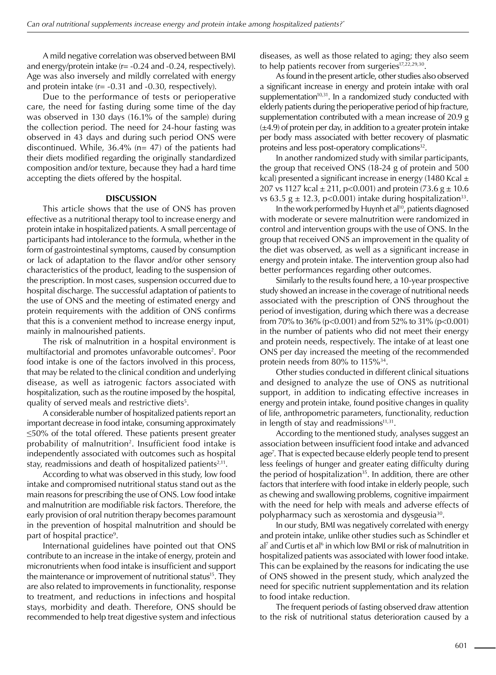A mild negative correlation was observed between BMI and energy/protein intake (r= -0.24 and -0.24, respectively). Age was also inversely and mildly correlated with energy and protein intake  $(r = -0.31$  and  $-0.30$ , respectively).

Due to the performance of tests or perioperative care, the need for fasting during some time of the day was observed in 130 days (16.1% of the sample) during the collection period. The need for 24-hour fasting was observed in 43 days and during such period ONS were discontinued. While, 36.4% (n= 47) of the patients had their diets modified regarding the originally standardized composition and/or texture, because they had a hard time accepting the diets offered by the hospital.

#### **DISCUSSION**

This article shows that the use of ONS has proven effective as a nutritional therapy tool to increase energy and protein intake in hospitalized patients. A small percentage of participants had intolerance to the formula, whether in the form of gastrointestinal symptoms, caused by consumption or lack of adaptation to the flavor and/or other sensory characteristics of the product, leading to the suspension of the prescription. In most cases, suspension occurred due to hospital discharge. The successful adaptation of patients to the use of ONS and the meeting of estimated energy and protein requirements with the addition of ONS confirms that this is a convenient method to increase energy input, mainly in malnourished patients.

The risk of malnutrition in a hospital environment is multifactorial and promotes unfavorable outcomes<sup>2</sup>. Poor food intake is one of the factors involved in this process, that may be related to the clinical condition and underlying disease, as well as iatrogenic factors associated with hospitalization, such as the routine imposed by the hospital, quality of served meals and restrictive diets<sup>5</sup>.

A considerable number of hospitalized patients report an important decrease in food intake, consuming approximately ≤50% of the total offered. These patients present greater probability of malnutrition<sup>2</sup>. Insufficient food intake is independently associated with outcomes such as hospital stay, readmissions and death of hospitalized patients $2,11$ .

According to what was observed in this study, low food intake and compromised nutritional status stand out as the main reasons for prescribing the use of ONS. Low food intake and malnutrition are modifiable risk factors. Therefore, the early provision of oral nutrition therapy becomes paramount in the prevention of hospital malnutrition and should be part of hospital practice<sup>9</sup>.

International guidelines have pointed out that ONS contribute to an increase in the intake of energy, protein and micronutrients when food intake is insufficient and support the maintenance or improvement of nutritional status<sup>15</sup>. They are also related to improvements in functionality, response to treatment, and reductions in infections and hospital stays, morbidity and death. Therefore, ONS should be recommended to help treat digestive system and infectious

diseases, as well as those related to aging; they also seem to help patients recover from surgeries<sup>17,22,29,30</sup>.

As found in the present article, other studies also observed a significant increase in energy and protein intake with oral supplementation $10,31$ . In a randomized study conducted with elderly patients during the perioperative period of hip fracture, supplementation contributed with a mean increase of 20.9 g  $(\pm 4.9)$  of protein per day, in addition to a greater protein intake per body mass associated with better recovery of plasmatic proteins and less post-operatory complications<sup>32</sup>.

In another randomized study with similar participants, the group that received ONS (18-24 g of protein and 500 kcal) presented a significant increase in energy (1480 Kcal  $\pm$ 207 vs 1127 kcal  $\pm$  211, p<0.001) and protein (73.6 g  $\pm$  10.6 vs 63.5 g  $\pm$  12.3, p<0.001) intake during hospitalization<sup>33</sup>.

In the work performed by Huynh et al<sup>10</sup>, patients diagnosed with moderate or severe malnutrition were randomized in control and intervention groups with the use of ONS. In the group that received ONS an improvement in the quality of the diet was observed, as well as a significant increase in energy and protein intake. The intervention group also had better performances regarding other outcomes.

Similarly to the results found here, a 10-year prospective study showed an increase in the coverage of nutritional needs associated with the prescription of ONS throughout the period of investigation, during which there was a decrease from 70% to 36% (p<0.001) and from 52% to 31% (p<0.001) in the number of patients who did not meet their energy and protein needs, respectively. The intake of at least one ONS per day increased the meeting of the recommended protein needs from 80% to 115%<sup>34</sup>.

Other studies conducted in different clinical situations and designed to analyze the use of ONS as nutritional support, in addition to indicating effective increases in energy and protein intake, found positive changes in quality of life, anthropometric parameters, functionality, reduction in length of stay and readmissions $11,31$ .

According to the mentioned study, analyses suggest an association between insufficient food intake and advanced age7 . That is expected because elderly people tend to present less feelings of hunger and greater eating difficulty during the period of hospitalization<sup>35</sup>. In addition, there are other factors that interfere with food intake in elderly people, such as chewing and swallowing problems, cognitive impairment with the need for help with meals and adverse effects of polypharmacy such as xerostomia and dysgeusia<sup>30</sup>.

In our study, BMI was negatively correlated with energy and protein intake, unlike other studies such as Schindler et al<sup>7</sup> and Curtis et al<sup>6</sup> in which low BMI or risk of malnutrition in hospitalized patients was associated with lower food intake. This can be explained by the reasons for indicating the use of ONS showed in the present study, which analyzed the need for specific nutrient supplementation and its relation to food intake reduction.

The frequent periods of fasting observed draw attention to the risk of nutritional status deterioration caused by a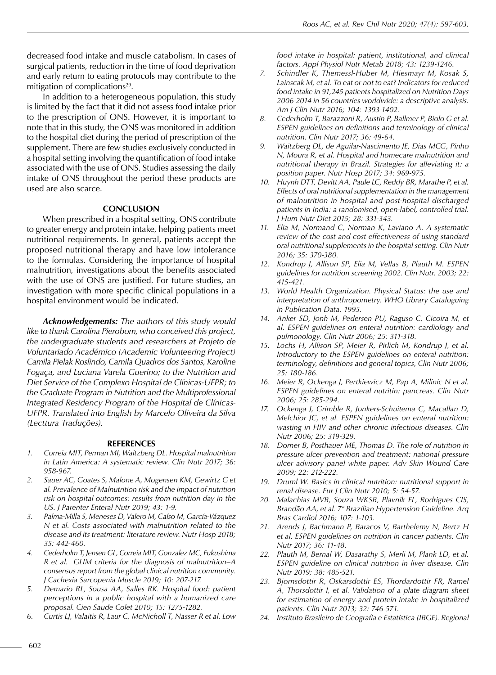decreased food intake and muscle catabolism. In cases of surgical patients, reduction in the time of food deprivation and early return to eating protocols may contribute to the mitigation of complications<sup>29</sup>.

In addition to a heterogeneous population, this study is limited by the fact that it did not assess food intake prior to the prescription of ONS. However, it is important to note that in this study, the ONS was monitored in addition to the hospital diet during the period of prescription of the supplement. There are few studies exclusively conducted in a hospital setting involving the quantification of food intake associated with the use of ONS. Studies assessing the daily intake of ONS throughout the period these products are used are also scarce.

## **CONCLUSION**

When prescribed in a hospital setting, ONS contribute to greater energy and protein intake, helping patients meet nutritional requirements. In general, patients accept the proposed nutritional therapy and have low intolerance to the formulas. Considering the importance of hospital malnutrition, investigations about the benefits associated with the use of ONS are justified. For future studies, an investigation with more specific clinical populations in a hospital environment would be indicated.

*Acknowledgements: The authors of this study would like to thank Carolina Pierobom, who conceived this project, the undergraduate students and researchers at Projeto de Voluntariado Académico (Academic Volunteering Project) Camila Pielak Roslindo, Camila Quadros dos Santos, Karoline Fogaça, and Luciana Varela Guerino; to the Nutrition and Diet Service of the Complexo Hospital de Clínicas-UFPR; to the Graduate Program in Nutrition and the Multiprofessional Integrated Residency Program of the Hospital de Clínicas-UFPR. Translated into English by Marcelo Oliveira da Silva (Lecttura Traduções).*

#### **REFERENCES**

- *1. Correia MIT, Perman MI, Waitzberg DL. Hospital malnutrition in Latin America: A systematic review. Clin Nutr 2017; 36: 958-967.*
- *2. Sauer AC, Goates S, Malone A, Mogensen KM, Gewirtz G et al. Prevalence of Malnutrition risk and the impact of nutrition risk on hospital outcomes: results from nutrition day in the US. J Parenter Enteral Nutr 2019; 43: 1-9.*
- *3. Palma-Milla S, Meneses D, Valero M, Calso M, García-Vázquez N et al. Costs associated with malnutrition related to the disease and its treatment: literature review. Nutr Hosp 2018; 35: 442-460.*
- *4. Cederholm T, Jensen GL, Correia MIT, Gonzalez MC, Fukushima R et al. GLIM criteria for the diagnosis of malnutrition–A consensus report from the global clinical nutrition community. J Cachexia Sarcopenia Muscle 2019; 10: 207-217.*
- *5. Demario RL, Sousa AA, Salles RK. Hospital food: patient perceptions in a public hospital with a humanized care proposal. Cien Saude Colet 2010; 15: 1275-1282.*
- *6. Curtis LJ, Valaitis R, Laur C, McNicholl T, Nasser R et al. Low*

*food intake in hospital: patient, institutional, and clinical factors. Appl Physiol Nutr Metab 2018; 43: 1239-1246.*

- *7. Schindler K, Themessl-Huber M, Hiesmayr M, Kosak S, Lainscak M, et al. To eat or not to eat? Indicators for reduced food intake in 91,245 patients hospitalized on Nutrition Days 2006-2014 in 56 countries worldwide: a descriptive analysis. Am J Clin Nutr 2016; 104: 1393-1402.*
- *8. Cederholm T, Barazzoni R, Austin P, Ballmer P, Biolo G et al. ESPEN guidelines on definitions and terminology of clinical nutrition. Clin Nutr 2017; 36: 49-64.*
- *9. Waitzberg DL, de Aguilar-Nascimento JE, Dias MCG, Pinho N, Moura R, et al. Hospital and homecare malnutrition and nutritional therapy in Brazil. Strategies for alleviating it: a position paper. Nutr Hosp 2017; 34: 969-975.*
- *10. Huynh DTT, Devitt AA, Paule LC, Reddy BR, Marathe P, et al. Effects of oral nutritional supplementation in the management of malnutrition in hospital and post-hospital discharged patients in India: a randomised, open-label, controlled trial. J Hum Nutr Diet 2015; 28: 331-343.*
- *11. Elia M, Normand C, Norman K, Laviano A. A systematic review of the cost and cost effectiveness of using standard oral nutritional supplements in the hospital setting. Clin Nutr 2016; 35: 370-380.*
- *12. Kondrup J, Allison SP, Elia M, Vellas B, Plauth M. ESPEN guidelines for nutrition screening 2002. Clin Nutr. 2003; 22: 415-421.*
- *13. World Health Organization. Physical Status: the use and interpretation of anthropometry. WHO Library Cataloguing in Publication Data. 1995.*
- *14. Anker SD, Jonh M, Pedersen PU, Raguso C, Cicoira M, et al. ESPEN guidelines on enteral nutrition: cardiology and pulmonology. Clin Nutr 2006; 25: 311-318.*
- *15. Lochs H, Allison SP, Meier R, Pirlich M, Kondrup J, et al. Introductory to the ESPEN guidelines on enteral nutrition: terminology, definitions and general topics, Clin Nutr 2006; 25: 180-186.*
- *16. Meier R, Ockenga J, Pertkiewicz M, Pap A, Milinic N et al. ESPEN guidelines on enteral nutritin: pancreas. Clin Nutr 2006; 25: 285-294.*
- *17. Ockenga J, Grimble R, Jonkers-Schuitema C, Macallan D, Melchior JC, et al. ESPEN guidelines on enteral nutrition: wasting in HIV and other chronic infectious diseases. Clin Nutr 2006; 25: 319-329.*
- *18. Dorner B, Posthauer ME, Thomas D. The role of nutrition in pressure ulcer prevention and treatment: national pressure ulcer advisory panel white paper. Adv Skin Wound Care 2009; 22: 212-222.*
- *19. Druml W. Basics in clinical nutrition: nutritional support in renal disease. Eur J Clin Nutr 2010; 5: 54-57.*
- *20. Malachias MVB, Souza WKSB, Plavnik FL, Rodrigues CIS, Brandão AA, et al. 7ª Brazilian Hypertension Guideline. Arq Bras Cardiol 2016; 107: 1-103.*
- *21. Arends J, Bachmann P, Baracos V, Barthelemy N, Bertz H et al. ESPEN guidelines on nutrition in cancer patients. Clin Nutr 2017; 36: 11-48.*
- *22. Plauth M, Bernal W, Dasarathy S, Merli M, Plank LD, et al. ESPEN guideline on clinical nutrition in liver disease. Clin Nutr 2019; 38: 485-521.*
- *23. Bjornsdottir R, Oskarsdottir ES, Thordardottir FR, Ramel A, Thorsdottir I, et al. Validation of a plate diagram sheet for estimation of energy and protein intake in hospitalized patients. Clin Nutr 2013; 32: 746-571.*
- *24. Instituto Brasileiro de Geografia e Estatística (IBGE). Regional*